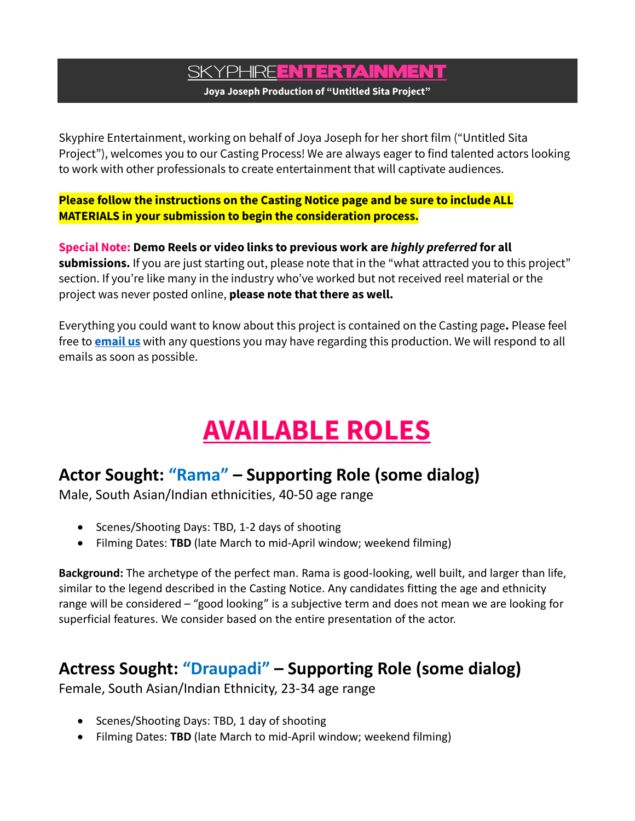## SKYPHIRE**ENTERTAINMENT**

**Joya Joseph Production of "Untitled Sita Project"**

Skyphire Entertainment, working on behalf of Joya Joseph for her short film ("Untitled Sita Project"), welcomes you to our Casting Process! We are always eager to find talented actors looking to work with other professionals to create entertainment that will captivate audiences.

**Please follow the instructions on the Casting Notice page and be sure to include ALL MATERIALS in your submission to begin the consideration process.**

**Special Note: Demo Reels or video links to previous work are** *highly preferred* **for all**  submissions. If you are just starting out, please note that in the "what attracted you to this project" section. If you're like many in the industry who've worked but not received reel material or the project was never posted online, **please note that there as well.**

Everything you could want to know about this project is contained on the Casting page**.** Please feel free to **[email us](mailto:casting@skyphire.biz)** with any questions you may have regarding this production. We will respond to all emails as soon as possible.

# **AVAILABLE ROLES**

### **Actor Sought: "Rama" – Supporting Role (some dialog)**

Male, South Asian/Indian ethnicities, 40-50 age range

- Scenes/Shooting Days: TBD, 1-2 days of shooting
- Filming Dates: **TBD** (late March to mid-April window; weekend filming)

**Background:** The archetype of the perfect man. Rama is good-looking, well built, and larger than life, similar to the legend described in the Casting Notice. Any candidates fitting the age and ethnicity range will be considered – "good looking" is a subjective term and does not mean we are looking for superficial features. We consider based on the entire presentation of the actor.

#### **Actress Sought: "Draupadi" – Supporting Role (some dialog)**

Female, South Asian/Indian Ethnicity, 23-34 age range

- Scenes/Shooting Days: TBD, 1 day of shooting
- Filming Dates: **TBD** (late March to mid-April window; weekend filming)